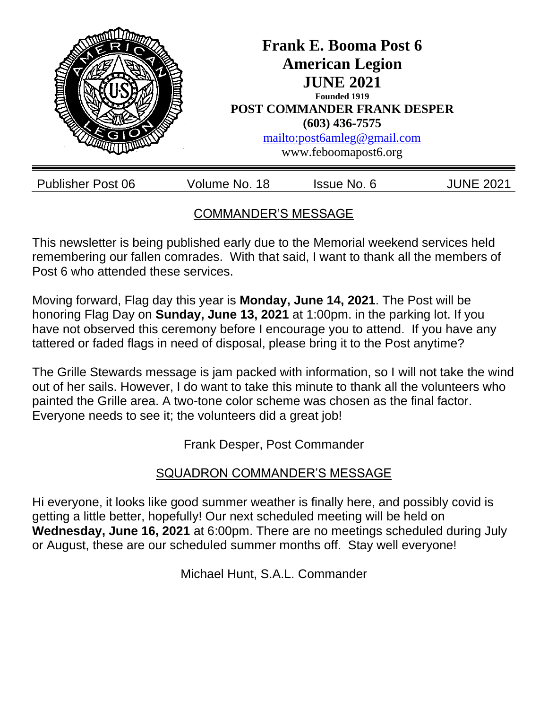

# COMMANDER'S MESSAGE

This newsletter is being published early due to the Memorial weekend services held remembering our fallen comrades. With that said, I want to thank all the members of Post 6 who attended these services.

Moving forward, Flag day this year is **Monday, June 14, 2021**. The Post will be honoring Flag Day on **Sunday, June 13, 2021** at 1:00pm. in the parking lot. If you have not observed this ceremony before I encourage you to attend. If you have any tattered or faded flags in need of disposal, please bring it to the Post anytime?

The Grille Stewards message is jam packed with information, so I will not take the wind out of her sails. However, I do want to take this minute to thank all the volunteers who painted the Grille area. A two-tone color scheme was chosen as the final factor. Everyone needs to see it; the volunteers did a great job!

Frank Desper, Post Commander

# SQUADRON COMMANDER'S MESSAGE

Hi everyone, it looks like good summer weather is finally here, and possibly covid is getting a little better, hopefully! Our next scheduled meeting will be held on **Wednesday, June 16, 2021** at 6:00pm. There are no meetings scheduled during July or August, these are our scheduled summer months off. Stay well everyone!

Michael Hunt, S.A.L. Commander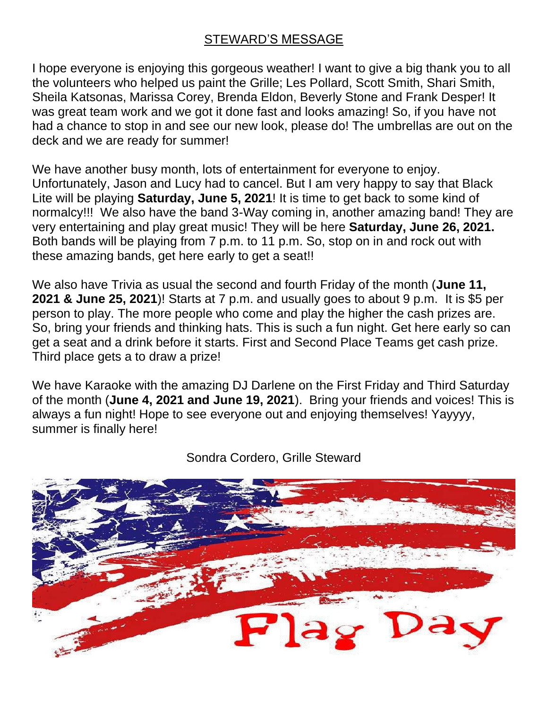### STEWARD'S MESSAGE

I hope everyone is enjoying this gorgeous weather! I want to give a big thank you to all the volunteers who helped us paint the Grille; Les Pollard, Scott Smith, Shari Smith, Sheila Katsonas, Marissa Corey, Brenda Eldon, Beverly Stone and Frank Desper! It was great team work and we got it done fast and looks amazing! So, if you have not had a chance to stop in and see our new look, please do! The umbrellas are out on the deck and we are ready for summer!

We have another busy month, lots of entertainment for everyone to enjoy. Unfortunately, Jason and Lucy had to cancel. But I am very happy to say that Black Lite will be playing **Saturday, June 5, 2021**! It is time to get back to some kind of normalcy!!! We also have the band 3-Way coming in, another amazing band! They are very entertaining and play great music! They will be here **Saturday, June 26, 2021.**  Both bands will be playing from 7 p.m. to 11 p.m. So, stop on in and rock out with these amazing bands, get here early to get a seat!!

We also have Trivia as usual the second and fourth Friday of the month (**June 11, 2021 & June 25, 2021**)! Starts at 7 p.m. and usually goes to about 9 p.m. It is \$5 per person to play. The more people who come and play the higher the cash prizes are. So, bring your friends and thinking hats. This is such a fun night. Get here early so can get a seat and a drink before it starts. First and Second Place Teams get cash prize. Third place gets a to draw a prize!

We have Karaoke with the amazing DJ Darlene on the First Friday and Third Saturday of the month (**June 4, 2021 and June 19, 2021**). Bring your friends and voices! This is always a fun night! Hope to see everyone out and enjoying themselves! Yayyyy, summer is finally here!



Sondra Cordero, Grille Steward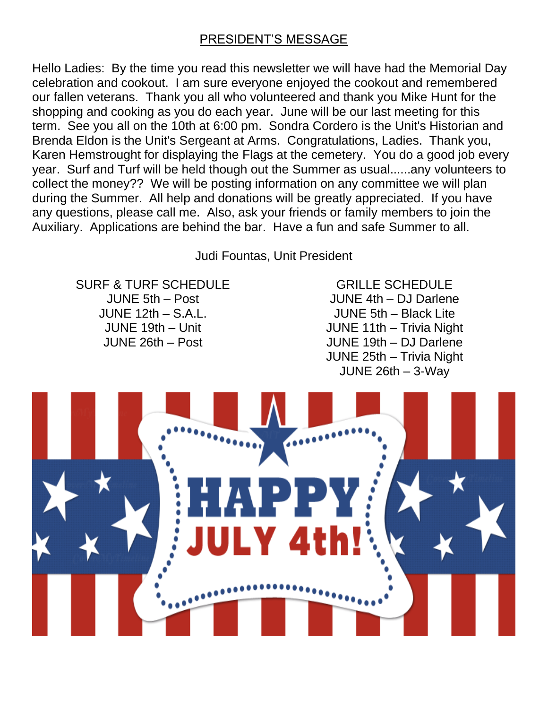### PRESIDENT'S MESSAGE

Hello Ladies: By the time you read this newsletter we will have had the Memorial Day celebration and cookout. I am sure everyone enjoyed the cookout and remembered our fallen veterans. Thank you all who volunteered and thank you Mike Hunt for the shopping and cooking as you do each year. June will be our last meeting for this term. See you all on the 10th at 6:00 pm. Sondra Cordero is the Unit's Historian and Brenda Eldon is the Unit's Sergeant at Arms. Congratulations, Ladies. Thank you, Karen Hemstrought for displaying the Flags at the cemetery. You do a good job every year. Surf and Turf will be held though out the Summer as usual......any volunteers to collect the money?? We will be posting information on any committee we will plan during the Summer. All help and donations will be greatly appreciated. If you have any questions, please call me. Also, ask your friends or family members to join the Auxiliary. Applications are behind the bar. Have a fun and safe Summer to all.

Judi Fountas, Unit President

SURF & TURF SCHEDULE JUNE 5th – Post JUNE 12th – S.A.L. JUNE 19th – Unit JUNE 26th – Post

GRILLE SCHEDULE JUNE 4th – DJ Darlene JUNE 5th – Black Lite JUNE 11th – Trivia Night JUNE 19th – DJ Darlene JUNE 25th – Trivia Night JUNE 26th – 3-Way